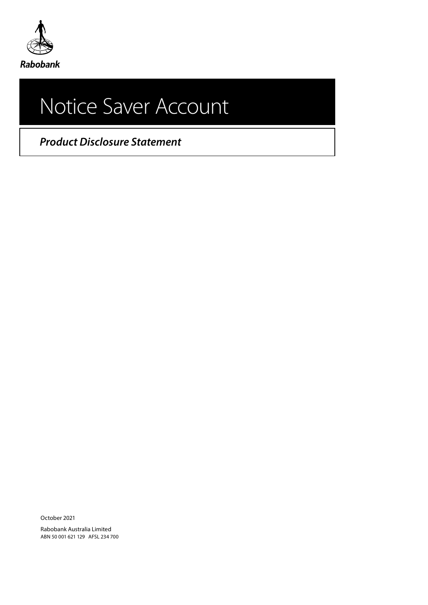

# Notice Saver Account

*Product Disclosure Statement*

October 2021

Rabobank Australia Limited ABN 50 001 621 129 AFSL 234 700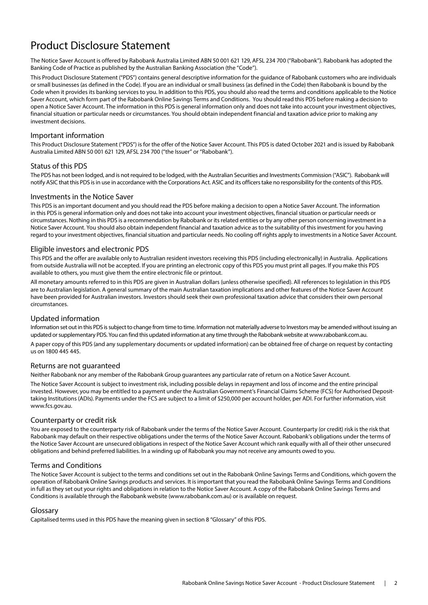# Product Disclosure Statement

The Notice Saver Account is offered by Rabobank Australia Limited ABN 50 001 621 129, AFSL 234 700 ("Rabobank"). Rabobank has adopted the Banking Code of Practice as published by the Australian Banking Association (the "Code").

This Product Disclosure Statement ("PDS") contains general descriptive information for the guidance of Rabobank customers who are individuals or small businesses (as defined in the Code). If you are an individual or small business (as defined in the Code) then Rabobank is bound by the Code when it provides its banking services to you. In addition to this PDS, you should also read the terms and conditions applicable to the Notice Saver Account, which form part of the Rabobank Online Savings Terms and Conditions. You should read this PDS before making a decision to open a Notice Saver Account. The information in this PDS is general information only and does not take into account your investment objectives, financial situation or particular needs or circumstances. You should obtain independent financial and taxation advice prior to making any investment decisions.

## Important information

This Product Disclosure Statement ("PDS") is for the offer of the Notice Saver Account. This PDS is dated October 2021 and is issued by Rabobank Australia Limited ABN 50 001 621 129, AFSL 234 700 ("the Issuer" or "Rabobank").

## Status of this PDS

The PDS has not been lodged, and is not required to be lodged, with the Australian Securities and Investments Commission ("ASIC"). Rabobank will notify ASIC that this PDS is in use in accordance with the Corporations Act. ASIC and its officers take no responsibility for the contents of this PDS.

## Investments in the Notice Saver

This PDS is an important document and you should read the PDS before making a decision to open a Notice Saver Account. The information in this PDS is general information only and does not take into account your investment objectives, financial situation or particular needs or circumstances. Nothing in this PDS is a recommendation by Rabobank or its related entities or by any other person concerning investment in a Notice Saver Account. You should also obtain independent financial and taxation advice as to the suitability of this investment for you having regard to your investment objectives, financial situation and particular needs. No cooling off rights apply to investments in a Notice Saver Account.

## Eligible investors and electronic PDS

This PDS and the offer are available only to Australian resident investors receiving this PDS (including electronically) in Australia. Applications from outside Australia will not be accepted. If you are printing an electronic copy of this PDS you must print all pages. If you make this PDS available to others, you must give them the entire electronic file or printout.

All monetary amounts referred to in this PDS are given in Australian dollars (unless otherwise specified). All references to legislation in this PDS are to Australian legislation. A general summary of the main Australian taxation implications and other features of the Notice Saver Account have been provided for Australian investors. Investors should seek their own professional taxation advice that considers their own personal circumstances.

## Updated information

Information set out in this PDS is subject to change from time to time. Information not materially adverse to Investors may be amended without issuing an updated or supplementary PDS. You can find this updated information at any time through the Rabobank website at www.rabobank.com.au.

A paper copy of this PDS (and any supplementary documents or updated information) can be obtained free of charge on request by contacting us on 1800 445 445.

## Returns are not guaranteed

Neither Rabobank nor any member of the Rabobank Group guarantees any particular rate of return on a Notice Saver Account.

The Notice Saver Account is subject to investment risk, including possible delays in repayment and loss of income and the entire principal invested. However, you may be entitled to a payment under the Australian Government's Financial Claims Scheme (FCS) for Authorised Deposittaking Institutions (ADIs). Payments under the FCS are subject to a limit of \$250,000 per account holder, per ADI. For further information, visit www.fcs.gov.au.

## Counterparty or credit risk

You are exposed to the counterparty risk of Rabobank under the terms of the Notice Saver Account. Counterparty (or credit) risk is the risk that Rabobank may default on their respective obligations under the terms of the Notice Saver Account. Rabobank's obligations under the terms of the Notice Saver Account are unsecured obligations in respect of the Notice Saver Account which rank equally with all of their other unsecured obligations and behind preferred liabilities. In a winding up of Rabobank you may not receive any amounts owed to you.

## Terms and Conditions

The Notice Saver Account is subject to the terms and conditions set out in the Rabobank Online Savings Terms and Conditions, which govern the operation of Rabobank Online Savings products and services. It is important that you read the Rabobank Online Savings Terms and Conditions in full as they set out your rights and obligations in relation to the Notice Saver Account. A copy of the Rabobank Online Savings Terms and Conditions is available through the Rabobank website (www.rabobank.com.au) or is available on request.

## Glossary

Capitalised terms used in this PDS have the meaning given in section 8 "Glossary" of this PDS.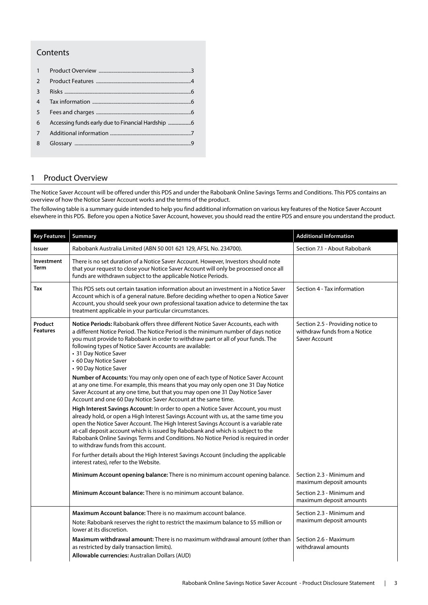## Contents

| 1              |  |
|----------------|--|
| $\mathcal{P}$  |  |
| 3              |  |
| $\overline{4}$ |  |
| 5              |  |
| 6              |  |
| 7              |  |
| 8              |  |

## 1 Product Overview

The Notice Saver Account will be offered under this PDS and under the Rabobank Online Savings Terms and Conditions. This PDS contains an overview of how the Notice Saver Account works and the terms of the product.

The following table is a summary guide intended to help you find additional information on various key features of the Notice Saver Account elsewhere in this PDS. Before you open a Notice Saver Account, however, you should read the entire PDS and ensure you understand the product.

| <b>Key Features</b>        | Summary                                                                                                                                                                                                                                                                                                                                                                                                                                                                          | <b>Additional Information</b>                                                      |
|----------------------------|----------------------------------------------------------------------------------------------------------------------------------------------------------------------------------------------------------------------------------------------------------------------------------------------------------------------------------------------------------------------------------------------------------------------------------------------------------------------------------|------------------------------------------------------------------------------------|
| Issuer                     | Rabobank Australia Limited (ABN 50 001 621 129, AFSL No. 234700).                                                                                                                                                                                                                                                                                                                                                                                                                | Section 7.1 - About Rabobank                                                       |
| Investment<br>Term         | There is no set duration of a Notice Saver Account. However, Investors should note<br>that your request to close your Notice Saver Account will only be processed once all<br>funds are withdrawn subject to the applicable Notice Periods.                                                                                                                                                                                                                                      |                                                                                    |
| Tax                        | This PDS sets out certain taxation information about an investment in a Notice Saver<br>Account which is of a general nature. Before deciding whether to open a Notice Saver<br>Account, you should seek your own professional taxation advice to determine the tax<br>treatment applicable in your particular circumstances.                                                                                                                                                    | Section 4 - Tax information                                                        |
| Product<br><b>Features</b> | Notice Periods: Rabobank offers three different Notice Saver Accounts, each with<br>a different Notice Period. The Notice Period is the minimum number of days notice<br>you must provide to Rabobank in order to withdraw part or all of your funds. The<br>following types of Notice Saver Accounts are available:<br>• 31 Day Notice Saver<br>• 60 Day Notice Saver<br>• 90 Day Notice Saver                                                                                  | Section 2.5 - Providing notice to<br>withdraw funds from a Notice<br>Saver Account |
|                            | Number of Accounts: You may only open one of each type of Notice Saver Account<br>at any one time. For example, this means that you may only open one 31 Day Notice<br>Saver Account at any one time, but that you may open one 31 Day Notice Saver<br>Account and one 60 Day Notice Saver Account at the same time.                                                                                                                                                             |                                                                                    |
|                            | High Interest Savings Account: In order to open a Notice Saver Account, you must<br>already hold, or open a High Interest Savings Account with us, at the same time you<br>open the Notice Saver Account. The High Interest Savings Account is a variable rate<br>at-call deposit account which is issued by Rabobank and which is subject to the<br>Rabobank Online Savings Terms and Conditions. No Notice Period is required in order<br>to withdraw funds from this account. |                                                                                    |
|                            | For further details about the High Interest Savings Account (including the applicable<br>interest rates), refer to the Website.                                                                                                                                                                                                                                                                                                                                                  |                                                                                    |
|                            | Minimum Account opening balance: There is no minimum account opening balance.                                                                                                                                                                                                                                                                                                                                                                                                    | Section 2.3 - Minimum and<br>maximum deposit amounts                               |
|                            | Minimum Account balance: There is no minimum account balance.                                                                                                                                                                                                                                                                                                                                                                                                                    | Section 2.3 - Minimum and<br>maximum deposit amounts                               |
|                            | Maximum Account balance: There is no maximum account balance.                                                                                                                                                                                                                                                                                                                                                                                                                    | Section 2.3 - Minimum and                                                          |
|                            | Note: Rabobank reserves the right to restrict the maximum balance to \$5 million or<br>lower at its discretion.                                                                                                                                                                                                                                                                                                                                                                  | maximum deposit amounts                                                            |
|                            | <b>Maximum withdrawal amount:</b> There is no maximum withdrawal amount (other than<br>as restricted by daily transaction limits).<br>Allowable currencies: Australian Dollars (AUD)                                                                                                                                                                                                                                                                                             | Section 2.6 - Maximum<br>withdrawal amounts                                        |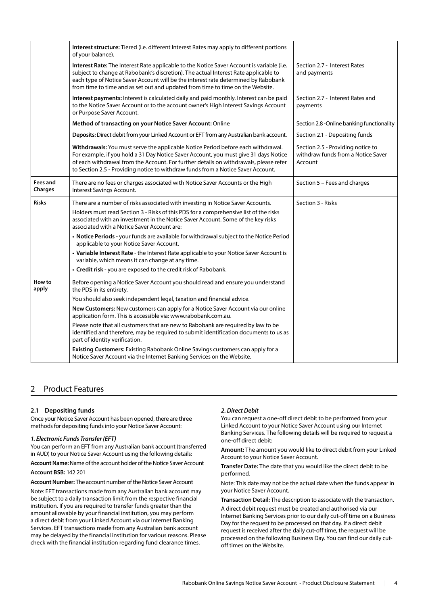<span id="page-3-0"></span>

|                                                                                                                                                                                                            | Interest structure: Tiered (i.e. different Interest Rates may apply to different portions<br>of your balance).                                                                                                                                                                                                                                           |                                                                                    |
|------------------------------------------------------------------------------------------------------------------------------------------------------------------------------------------------------------|----------------------------------------------------------------------------------------------------------------------------------------------------------------------------------------------------------------------------------------------------------------------------------------------------------------------------------------------------------|------------------------------------------------------------------------------------|
|                                                                                                                                                                                                            | Interest Rate: The Interest Rate applicable to the Notice Saver Account is variable (i.e.<br>subject to change at Rabobank's discretion). The actual Interest Rate applicable to<br>each type of Notice Saver Account will be the interest rate determined by Rabobank<br>from time to time and as set out and updated from time to time on the Website. | Section 2.7 - Interest Rates<br>and payments                                       |
| Interest payments: Interest is calculated daily and paid monthly. Interest can be paid<br>to the Notice Saver Account or to the account owner's High Interest Savings Account<br>or Purpose Saver Account. |                                                                                                                                                                                                                                                                                                                                                          | Section 2.7 - Interest Rates and<br>payments                                       |
|                                                                                                                                                                                                            | Method of transacting on your Notice Saver Account: Online                                                                                                                                                                                                                                                                                               | Section 2.8 - Online banking functionality                                         |
|                                                                                                                                                                                                            | Deposits: Direct debit from your Linked Account or EFT from any Australian bank account.                                                                                                                                                                                                                                                                 | Section 2.1 - Depositing funds                                                     |
|                                                                                                                                                                                                            | Withdrawals: You must serve the applicable Notice Period before each withdrawal.<br>For example, if you hold a 31 Day Notice Saver Account, you must give 31 days Notice<br>of each withdrawal from the Account. For further details on withdrawals, please refer<br>to Section 2.5 - Providing notice to withdraw funds from a Notice Saver Account.    | Section 2.5 - Providing notice to<br>withdraw funds from a Notice Saver<br>Account |
| Fees and<br>Charges                                                                                                                                                                                        | There are no fees or charges associated with Notice Saver Accounts or the High<br>Interest Savings Account.                                                                                                                                                                                                                                              | Section 5 - Fees and charges                                                       |
| <b>Risks</b>                                                                                                                                                                                               | There are a number of risks associated with investing in Notice Saver Accounts.                                                                                                                                                                                                                                                                          | Section 3 - Risks                                                                  |
|                                                                                                                                                                                                            | Holders must read Section 3 - Risks of this PDS for a comprehensive list of the risks<br>associated with an investment in the Notice Saver Account. Some of the key risks<br>associated with a Notice Saver Account are:                                                                                                                                 |                                                                                    |
|                                                                                                                                                                                                            | • Notice Periods - your funds are available for withdrawal subject to the Notice Period<br>applicable to your Notice Saver Account.                                                                                                                                                                                                                      |                                                                                    |
|                                                                                                                                                                                                            | • Variable Interest Rate - the Interest Rate applicable to your Notice Saver Account is<br>variable, which means it can change at any time.                                                                                                                                                                                                              |                                                                                    |
|                                                                                                                                                                                                            | • Credit risk - you are exposed to the credit risk of Rabobank.                                                                                                                                                                                                                                                                                          |                                                                                    |
| How to<br>apply                                                                                                                                                                                            | Before opening a Notice Saver Account you should read and ensure you understand<br>the PDS in its entirety.                                                                                                                                                                                                                                              |                                                                                    |
|                                                                                                                                                                                                            | You should also seek independent legal, taxation and financial advice.                                                                                                                                                                                                                                                                                   |                                                                                    |
|                                                                                                                                                                                                            | New Customers: New customers can apply for a Notice Saver Account via our online<br>application form. This is accessible via: www.rabobank.com.au.                                                                                                                                                                                                       |                                                                                    |
|                                                                                                                                                                                                            | Please note that all customers that are new to Rabobank are required by law to be<br>identified and therefore, may be required to submit identification documents to us as<br>part of identity verification.                                                                                                                                             |                                                                                    |
|                                                                                                                                                                                                            | Existing Customers: Existing Rabobank Online Savings customers can apply for a<br>Notice Saver Account via the Internet Banking Services on the Website.                                                                                                                                                                                                 |                                                                                    |

## 2 Product Features

## **2.1 Depositing funds**

Once your Notice Saver Account has been opened, there are three methods for depositing funds into your Notice Saver Account:

## *1. Electronic Funds Transfer (EFT)*

You can perform an EFT from any Australian bank account (transferred in AUD) to your Notice Saver Account using the following details:

**Account Name:** Name of the account holder of the Notice Saver Account **Account BSB:** 142 201

**Account Number:** The account number of the Notice Saver Account

Note: EFT transactions made from any Australian bank account may be subject to a daily transaction limit from the respective financial institution. If you are required to transfer funds greater than the amount allowable by your financial institution, you may perform a direct debit from your Linked Account via our Internet Banking Services. EFT transactions made from any Australian bank account may be delayed by the financial institution for various reasons. Please check with the financial institution regarding fund clearance times.

#### *2. Direct Debit*

You can request a one-off direct debit to be performed from your Linked Account to your Notice Saver Account using our Internet Banking Services. The following details will be required to request a one-off direct debit:

**Amount:** The amount you would like to direct debit from your Linked Account to your Notice Saver Account.

**Transfer Date:** The date that you would like the direct debit to be performed.

Note: This date may not be the actual date when the funds appear in your Notice Saver Account.

**Transaction Detail:** The description to associate with the transaction. A direct debit request must be created and authorised via our Internet Banking Services prior to our daily cut-off time on a Business Day for the request to be processed on that day. If a direct debit request is received after the daily cut-off time, the request will be processed on the following Business Day. You can find our daily cutoff times on the Website.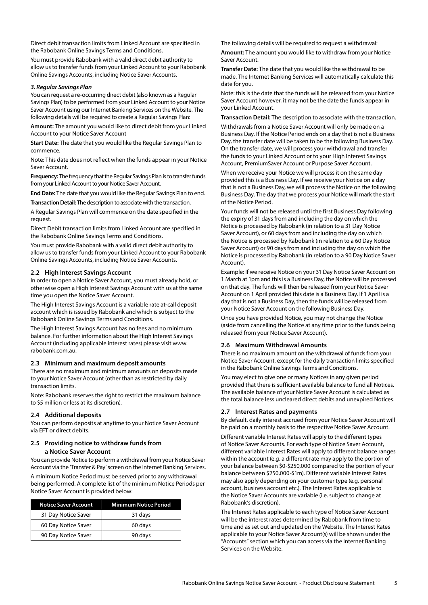Direct debit transaction limits from Linked Account are specified in the Rabobank Online Savings Terms and Conditions.

You must provide Rabobank with a valid direct debit authority to allow us to transfer funds from your Linked Account to your Rabobank Online Savings Accounts, including Notice Saver Accounts.

#### *3. Regular Savings Plan*

You can request a re-occurring direct debit (also known as a Regular Savings Plan) to be performed from your Linked Account to your Notice Saver Account using our Internet Banking Services on the Website. The following details will be required to create a Regular Savings Plan:

**Amount:** The amount you would like to direct debit from your Linked Account to your Notice Saver Account

**Start Date:** The date that you would like the Regular Savings Plan to commence.

Note: This date does not reflect when the funds appear in your Notice Saver Account.

**Frequency:** The frequency that the Regular Savings Plan is to transfer funds from your Linked Account to your Notice Saver Account.

**End Date:** The date that you would like the Regular Savings Plan to end.

**Transaction Detail:** The description to associate with the transaction.

A Regular Savings Plan will commence on the date specified in the request.

Direct Debit transaction limits from Linked Account are specified in the Rabobank Online Savings Terms and Conditions.

You must provide Rabobank with a valid direct debit authority to allow us to transfer funds from your Linked Account to your Rabobank Online Savings Accounts, including Notice Saver Accounts.

## **2.2 High Interest Savings Account**

In order to open a Notice Saver Account, you must already hold, or otherwise open a High Interest Savings Account with us at the same time you open the Notice Saver Account.

The High Interest Savings Account is a variable rate at-call deposit account which is issued by Rabobank and which is subject to the Rabobank Online Savings Terms and Conditions.

The High Interest Savings Account has no fees and no minimum balance. For further information about the High Interest Savings Account (including applicable interest rates) please visit www. rabobank.com.au.

## **2.3 Minimum and maximum deposit amounts**

There are no maximum and minimum amounts on deposits made to your Notice Saver Account (other than as restricted by daily transaction limits.

Note: Rabobank reserves the right to restrict the maximum balance to \$5 million or less at its discretion).

## **2.4 Additional deposits**

You can perform deposits at anytime to your Notice Saver Account via EFT or direct debits.

# **2.5 Providing notice to withdraw funds from**

**a Notice Saver Account**

You can provide Notice to perform a withdrawal from your Notice Saver Account via the 'Transfer & Pay' screen on the Internet Banking Services. A minimum Notice Period must be served prior to any withdrawal

being performed. A complete list of the minimum Notice Periods per Notice Saver Account is provided below:

| <b>Notice Saver Account</b> | <b>Minimum Notice Period</b> |
|-----------------------------|------------------------------|
| 31 Day Notice Saver         | 31 days                      |
| 60 Day Notice Saver         | 60 days                      |
| 90 Day Notice Saver         | 90 days                      |

The following details will be required to request a withdrawal:

**Amount:** The amount you would like to withdraw from your Notice Saver Account.

**Transfer Date:** The date that you would like the withdrawal to be made. The Internet Banking Services will automatically calculate this date for you.

Note: this is the date that the funds will be released from your Notice Saver Account however, it may not be the date the funds appear in your Linked Account.

**Transaction Detail:** The description to associate with the transaction.

Withdrawals from a Notice Saver Account will only be made on a Business Day. If the Notice Period ends on a day that is not a Business Day, the transfer date will be taken to be the following Business Day. On the transfer date, we will process your withdrawal and transfer the funds to your Linked Account or to your High Interest Savings Account, PremiumSaver Account or Purpose Saver Account.

When we receive your Notice we will process it on the same day provided this is a Business Day. If we receive your Notice on a day that is not a Business Day, we will process the Notice on the following Business Day. The day that we process your Notice will mark the start of the Notice Period.

Your funds will not be released until the first Business Day following the expiry of 31 days from and including the day on which the Notice is processed by Rabobank (in relation to a 31 Day Notice Saver Account), or 60 days from and including the day on which the Notice is processed by Rabobank (in relation to a 60 Day Notice Saver Account) or 90 days from and including the day on which the Notice is processed by Rabobank (in relation to a 90 Day Notice Saver Account).

Example: If we receive Notice on your 31 Day Notice Saver Account on 1 March at 1pm and this is a Business Day, the Notice will be processed on that day. The funds will then be released from your Notice Saver Account on 1 April provided this date is a Business Day. If 1 April is a day that is not a Business Day, then the funds will be released from your Notice Saver Account on the following Business Day.

Once you have provided Notice, you may not change the Notice (aside from cancelling the Notice at any time prior to the funds being released from your Notice Saver Account).

## **2.6 Maximum Withdrawal Amounts**

There is no maximum amount on the withdrawal of funds from your Notice Saver Account, except for the daily transaction limits specified in the Rabobank Online Savings Terms and Conditions.

You may elect to give one or many Notices in any given period provided that there is sufficient available balance to fund all Notices. The available balance of your Notice Saver Account is calculated as the total balance less uncleared direct debits and unexpired Notices.

## **2.7 Interest Rates and payments**

By default, daily interest accrued from your Notice Saver Account will be paid on a monthly basis to the respective Notice Saver Account.

Different variable Interest Rates will apply to the different types of Notice Saver Accounts. For each type of Notice Saver Account, different variable Interest Rates will apply to different balance ranges within the account (e.g. a different rate may apply to the portion of your balance between \$0-\$250,000 compared to the portion of your balance between \$250,000-\$1m). Different variable Interest Rates may also apply depending on your customer type (e.g. personal account, business account etc.). The Interest Rates applicable to the Notice Saver Accounts are variable (i.e. subject to change at Rabobank's discretion).

The Interest Rates applicable to each type of Notice Saver Account will be the interest rates determined by Rabobank from time to time and as set out and updated on the Website. The Interest Rates applicable to your Notice Saver Account(s) will be shown under the "Accounts" section which you can access via the Internet Banking Services on the Website.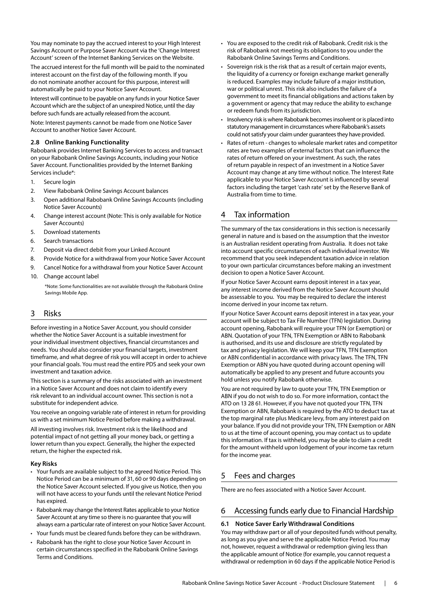<span id="page-5-0"></span>You may nominate to pay the accrued interest to your High Interest Savings Account or Purpose Saver Account via the 'Change Interest Account' screen of the Internet Banking Services on the Website.

The accrued interest for the full month will be paid to the nominated interest account on the first day of the following month. If you do not nominate another account for this purpose, interest will automatically be paid to your Notice Saver Account.

Interest will continue to be payable on any funds in your Notice Saver Account which are the subject of an unexpired Notice, until the day before such funds are actually released from the account.

Note: Interest payments cannot be made from one Notice Saver Account to another Notice Saver Account.

## **2.8 Online Banking Functionality**

Rabobank provides Internet Banking Services to access and transact on your Rabobank Online Savings Accounts, including your Notice Saver Account. Functionalities provided by the Internet Banking Services include\*:

- 1. Secure login
- 2. View Rabobank Online Savings Account balances
- 3. Open additional Rabobank Online Savings Accounts (including Notice Saver Accounts)
- 4. Change interest account (Note: This is only available for Notice Saver Accounts)
- 5. Download statements
- 6. Search transactions
- 7. Deposit via direct debit from your Linked Account
- 8. Provide Notice for a withdrawal from your Notice Saver Account
- 9. Cancel Notice for a withdrawal from your Notice Saver Account
- 10. Change account label

\*Note: Some functionalities are not available through the Rabobank Online Savings Mobile App.

## 3 Risks

Before investing in a Notice Saver Account, you should consider whether the Notice Saver Account is a suitable investment for your individual investment objectives, financial circumstances and needs. You should also consider your financial targets, investment timeframe, and what degree of risk you will accept in order to achieve your financial goals. You must read the entire PDS and seek your own investment and taxation advice.

This section is a summary of the risks associated with an investment in a Notice Saver Account and does not claim to identify every risk relevant to an individual account owner. This section is not a substitute for independent advice.

You receive an ongoing variable rate of interest in return for providing us with a set minimum Notice Period before making a withdrawal.

All investing involves risk. Investment risk is the likelihood and potential impact of not getting all your money back, or getting a lower return than you expect. Generally, the higher the expected return, the higher the expected risk.

## **Key Risks**

- Your funds are available subject to the agreed Notice Period. This Notice Period can be a minimum of 31, 60 or 90 days depending on the Notice Saver Account selected. If you give us Notice, then you will not have access to your funds until the relevant Notice Period has expired.
- Rabobank may change the Interest Rates applicable to your Notice Saver Account at any time so there is no guarantee that you will always earn a particular rate of interest on your Notice Saver Account.
- Your funds must be cleared funds before they can be withdrawn.
- Rabobank has the right to close your Notice Saver Account in certain circumstances specified in the Rabobank Online Savings Terms and Conditions.
- You are exposed to the credit risk of Rabobank. Credit risk is the risk of Rabobank not meeting its obligations to you under the Rabobank Online Savings Terms and Conditions.
- Sovereign risk is the risk that as a result of certain major events, the liquidity of a currency or foreign exchange market generally is reduced. Examples may include failure of a major institution, war or political unrest. This risk also includes the failure of a government to meet its financial obligations and actions taken by a government or agency that may reduce the ability to exchange or redeem funds from its jurisdiction.
- Insolvency risk is where Rabobank becomes insolvent or is placed into statutory management in circumstances where Rabobank's assets could not satisfy your claim under guarantees they have provided.
- Rates of return changes to wholesale market rates and competitor rates are two examples of external factors that can influence the rates of return offered on your investment. As such, the rates of return payable in respect of an investment in a Notice Saver Account may change at any time without notice. The Interest Rate applicable to your Notice Saver Account is influenced by several factors including the target 'cash rate' set by the Reserve Bank of Australia from time to time.

## 4 Tax information

The summary of the tax considerations in this section is necessarily general in nature and is based on the assumption that the investor is an Australian resident operating from Australia. It does not take into account specific circumstances of each individual investor. We recommend that you seek independent taxation advice in relation to your own particular circumstances before making an investment decision to open a Notice Saver Account.

If your Notice Saver Account earns deposit interest in a tax year, any interest income derived from the Notice Saver Account should be assessable to you. You may be required to declare the interest income derived in your income tax return.

If your Notice Saver Account earns deposit interest in a tax year, your account will be subject to Tax File Number (TFN) legislation. During account opening, Rabobank will require your TFN (or Exemption) or ABN. Quotation of your TFN, TFN Exemption or ABN to Rabobank is authorised, and its use and disclosure are strictly regulated by tax and privacy legislation. We will keep your TFN, TFN Exemption or ABN confidential in accordance with privacy laws. The TFN, TFN Exemption or ABN you have quoted during account opening will automatically be applied to any present and future accounts you hold unless you notify Rabobank otherwise.

You are not required by law to quote your TFN, TFN Exemption or ABN if you do not wish to do so. For more information, contact the ATO on 13 28 61. However, if you have not quoted your TFN, TFN Exemption or ABN, Rabobank is required by the ATO to deduct tax at the top marginal rate plus Medicare levy, from any interest paid on your balance. If you did not provide your TFN, TFN Exemption or ABN to us at the time of account opening, you may contact us to update this information. If tax is withheld, you may be able to claim a credit for the amount withheld upon lodgement of your income tax return for the income year.

## 5 Fees and charges

There are no fees associated with a Notice Saver Account.

## 6 Accessing funds early due to Financial Hardship

## **6.1 Notice Saver Early Withdrawal Conditions**

You may withdraw part or all of your deposited funds without penalty, as long as you give and serve the applicable Notice Period. You may not, however, request a withdrawal or redemption giving less than the applicable amount of Notice (for example, you cannot request a withdrawal or redemption in 60 days if the applicable Notice Period is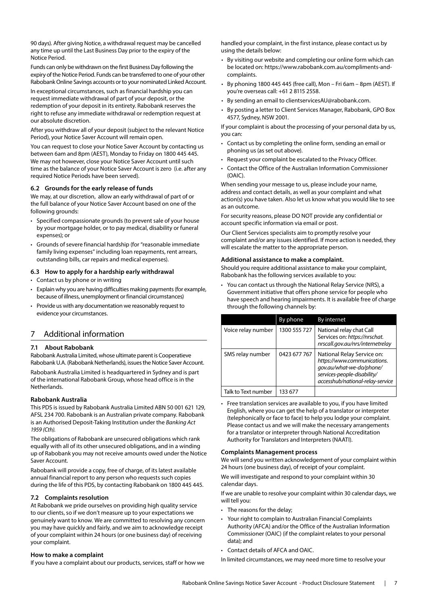<span id="page-6-0"></span>90 days). After giving Notice, a withdrawal request may be cancelled any time up until the Last Business Day prior to the expiry of the Notice Period.

Funds can only be withdrawn on the first Business Day following the expiry of the Notice Period. Funds can be transferred to one of your other Rabobank Online Savings accounts or to your nominated Linked Account.

In exceptional circumstances, such as financial hardship you can request immediate withdrawal of part of your deposit, or the redemption of your deposit in its entirety. Rabobank reserves the right to refuse any immediate withdrawal or redemption request at our absolute discretion.

After you withdraw all of your deposit (subject to the relevant Notice Period), your Notice Saver Account will remain open.

You can request to close your Notice Saver Account by contacting us between 6am and 8pm (AEST), Monday to Friday on 1800 445 445. We may not however, close your Notice Saver Account until such time as the balance of your Notice Saver Account is zero (i.e. after any required Notice Periods have been served).

## **6.2 Grounds for the early release of funds**

We may, at our discretion, allow an early withdrawal of part of or the full balance of your Notice Saver Account based on one of the following grounds:

- Specified compassionate grounds (to prevent sale of your house by your mortgage holder, or to pay medical, disability or funeral expenses); or
- Grounds of severe financial hardship (for "reasonable immediate family living expenses" including loan repayments, rent arrears, outstanding bills, car repairs and medical expenses).

## **6.3 How to apply for a hardship early withdrawal**

- Contact us by phone or in writing
- Explain why you are having difficulties making payments (for example, because of illness, unemployment or financial circumstances)
- Provide us with any documentation we reasonably request to evidence your circumstances.

## 7 Additional information

#### **7.1 About Rabobank**

Rabobank Australia Limited, whose ultimate parent is Cooperatieve Rabobank U.A. (Rabobank Netherlands), issues the Notice Saver Account.

Rabobank Australia Limited is headquartered in Sydney and is part of the international Rabobank Group, whose head office is in the Netherlands.

## **Rabobank Australia**

This PDS is issued by Rabobank Australia Limited ABN 50 001 621 129, AFSL 234 700. Rabobank is an Australian private company. Rabobank is an Authorised Deposit-Taking Institution under the *Banking Act 1959 (Cth).*

The obligations of Rabobank are unsecured obligations which rank equally with all of its other unsecured obligations, and in a winding up of Rabobank you may not receive amounts owed under the Notice Saver Account.

Rabobank will provide a copy, free of charge, of its latest available annual financial report to any person who requests such copies during the life of this PDS, by contacting Rabobank on 1800 445 445.

## **7.2 Complaints resolution**

At Rabobank we pride ourselves on providing high quality service to our clients, so if we don't measure up to your expectations we genuinely want to know. We are committed to resolving any concern you may have quickly and fairly, and we aim to acknowledge receipt of your complaint within 24 hours (or one business day) of receiving your complaint.

## **How to make a complaint**

If you have a complaint about our products, services, staff or how we

handled your complaint, in the first instance, please contact us by using the details below:

- By visiting our website and completing our online form which can be located on: [https://www.rabobank.com.au/compliments-and](https://www.rabobank.com.au/compliments-and-complaints)[complaints.](https://www.rabobank.com.au/compliments-and-complaints)
- By phoning 1800 445 445 (free call), Mon Fri 6am 8pm (AEST). If you're overseas call: +61 2 8115 2558.
- By sending an email to clientservicesAU@rabobank.com.
- By posting a letter to Client Services Manager, Rabobank, GPO Box 4577, Sydney, NSW 2001.

If your complaint is about the processing of your personal data by us, you can:

- Contact us by completing the online form, sending an email or phoning us (as set out above).
- Request your complaint be escalated to the Privacy Officer.
- Contact the Office of the Australian Information Commissioner (OAIC).

When sending your message to us, please include your name, address and contact details, as well as your complaint and what action(s) you have taken. Also let us know what you would like to see as an outcome.

For security reasons, please DO NOT provide any confidential or account specific information via email or post.

Our Client Services specialists aim to promptly resolve your complaint and/or any issues identified. If more action is needed, they will escalate the matter to the appropriate person.

#### **Additional assistance to make a complaint.**

Should you require additional assistance to make your complaint, Rabobank has the following services available to you:

• You can contact us through the National Relay Service (NRS), a Government initiative that offers phone service for people who have speech and hearing impairments. It is available free of charge through the following channels by:

|  |                     | By phone     | By internet                                                                                                                                              |  |  |  |
|--|---------------------|--------------|----------------------------------------------------------------------------------------------------------------------------------------------------------|--|--|--|
|  | Voice relay number  | 1300 555 727 | National relay chat Call<br>Services on: https://nrschat.<br>nrscall.gov.au/nrs/internetrelay                                                            |  |  |  |
|  | SMS relay number    | 0423 677 767 | National Relay Service on:<br>https://www.communications.<br>qov.au/what-we-do/phone/<br>services-people-disability/<br>accesshub/national-relay-service |  |  |  |
|  | Talk to Text number | 133 677      |                                                                                                                                                          |  |  |  |

• Free translation services are available to you, if you have limited English, where you can get the help of a translator or interpreter (telephonically or face to face) to help you lodge your complaint. Please contact us and we will make the necessary arrangements for a translator or interpreter through National Accreditation Authority for Translators and Interpreters (NAATI).

#### **Complaints Management process**

We will send you written acknowledgement of your complaint within 24 hours (one business day), of receipt of your complaint.

We will investigate and respond to your complaint within 30 calendar days.

If we are unable to resolve your complaint within 30 calendar days, we will tell you:

- The reasons for the delay;
- Your right to complain to Australian Financial Complaints Authority (AFCA) and/or the Office of the Australian Information Commissioner (OAIC) (if the complaint relates to your personal data); and
- Contact details of AFCA and OAIC.
- In limited circumstances, we may need more time to resolve your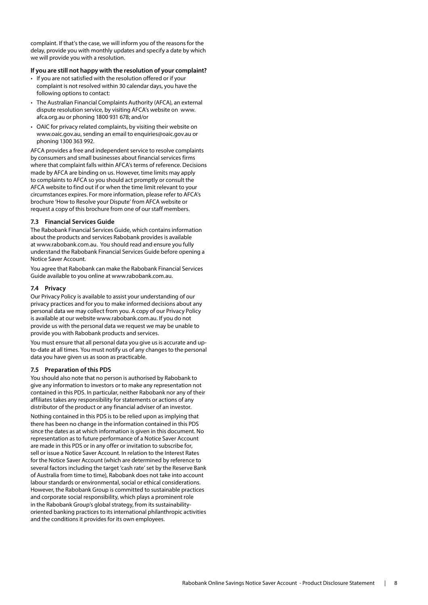complaint. If that's the case, we will inform you of the reasons for the delay, provide you with monthly updates and specify a date by which we will provide you with a resolution.

## **If you are still not happy with the resolution of your complaint?**

- If you are not satisfied with the resolution offered or if your complaint is not resolved within 30 calendar days, you have the following options to contact:
- The Australian Financial Complaints Authority (AFCA), an external dispute resolution service, by visiting AFCA's website on www. afca.org.au or phoning 1800 931 678; and/or
- OAIC for privacy related complaints, by visiting their website on www.oaic.gov.au, sending an email to enquiries@oaic.gov.au or phoning 1300 363 992.

AFCA provides a free and independent service to resolve complaints by consumers and small businesses about financial services firms where that complaint falls within AFCA's terms of reference. Decisions made by AFCA are binding on us. However, time limits may apply to complaints to AFCA so you should act promptly or consult the AFCA website to find out if or when the time limit relevant to your circumstances expires. For more information, please refer to AFCA's brochure 'How to Resolve your Dispute' from AFCA website or request a copy of this brochure from one of our staff members.

## **7.3 Financial Services Guide**

The Rabobank Financial Services Guide, which contains information about the products and services Rabobank provides is available at www.rabobank.com.au. You should read and ensure you fully understand the Rabobank Financial Services Guide before opening a Notice Saver Account.

You agree that Rabobank can make the Rabobank Financial Services Guide available to you online at www.rabobank.com.au.

## **7.4 Privacy**

Our Privacy Policy is available to assist your understanding of our privacy practices and for you to make informed decisions about any personal data we may collect from you. A copy of our Privacy Policy is available at our website www.rabobank.com.au. If you do not provide us with the personal data we request we may be unable to provide you with Rabobank products and services.

You must ensure that all personal data you give us is accurate and upto-date at all times. You must notify us of any changes to the personal data you have given us as soon as practicable.

## **7.5 Preparation of this PDS**

You should also note that no person is authorised by Rabobank to give any information to investors or to make any representation not contained in this PDS. In particular, neither Rabobank nor any of their affiliates takes any responsibility for statements or actions of any distributor of the product or any financial adviser of an investor.

Nothing contained in this PDS is to be relied upon as implying that there has been no change in the information contained in this PDS since the dates as at which information is given in this document. No representation as to future performance of a Notice Saver Account are made in this PDS or in any offer or invitation to subscribe for, sell or issue a Notice Saver Account. In relation to the Interest Rates for the Notice Saver Account (which are determined by reference to several factors including the target 'cash rate' set by the Reserve Bank of Australia from time to time), Rabobank does not take into account labour standards or environmental, social or ethical considerations. However, the Rabobank Group is committed to sustainable practices and corporate social responsibility, which plays a prominent role in the Rabobank Group's global strategy, from its sustainabilityoriented banking practices to its international philanthropic activities and the conditions it provides for its own employees.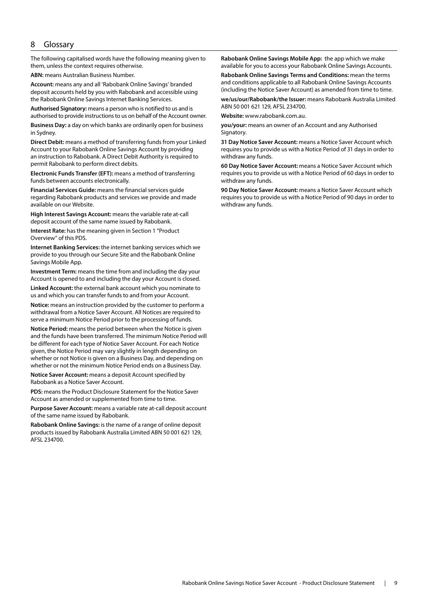## <span id="page-8-0"></span>8 Glossary

The following capitalised words have the following meaning given to them, unless the context requires otherwise.

**ABN:** means Australian Business Number.

**Account:** means any and all 'Rabobank Online Savings' branded deposit accounts held by you with Rabobank and accessible using the Rabobank Online Savings Internet Banking Services.

**Authorised Signatory:** means a person who is notified to us and is authorised to provide instructions to us on behalf of the Account owner.

**Business Day:** a day on which banks are ordinarily open for business in Sydney.

**Direct Debit:** means a method of transferring funds from your Linked Account to your Rabobank Online Savings Account by providing an instruction to Rabobank. A Direct Debit Authority is required to permit Rabobank to perform direct debits.

**Electronic Funds Transfer (EFT):** means a method of transferring funds between accounts electronically.

**Financial Services Guide:** means the financial services guide regarding Rabobank products and services we provide and made available on our Website.

**High Interest Savings Account:** means the variable rate at-call deposit account of the same name issued by Rabobank.

**Interest Rate:** has the meaning given in Section 1 "Product Overview" of this PDS.

**Internet Banking Services:** the internet banking services which we provide to you through our Secure Site and the Rabobank Online Savings Mobile App.

**Investment Term:** means the time from and including the day your Account is opened to and including the day your Account is closed.

**Linked Account:** the external bank account which you nominate to us and which you can transfer funds to and from your Account.

**Notice:** means an instruction provided by the customer to perform a withdrawal from a Notice Saver Account. All Notices are required to serve a minimum Notice Period prior to the processing of funds.

**Notice Period:** means the period between when the Notice is given and the funds have been transferred. The minimum Notice Period will be different for each type of Notice Saver Account. For each Notice given, the Notice Period may vary slightly in length depending on whether or not Notice is given on a Business Day, and depending on whether or not the minimum Notice Period ends on a Business Day.

**Notice Saver Account:** means a deposit Account specified by Rabobank as a Notice Saver Account.

**PDS:** means the Product Disclosure Statement for the Notice Saver Account as amended or supplemented from time to time.

**Purpose Saver Account:** means a variable rate at-call deposit account of the same name issued by Rabobank.

**Rabobank Online Savings:** is the name of a range of online deposit products issued by Rabobank Australia Limited ABN 50 001 621 129, AFSL 234700.

**Rabobank Online Savings Mobile App:** the app which we make available for you to access your Rabobank Online Savings Accounts.

**Rabobank Online Savings Terms and Conditions:** mean the terms and conditions applicable to all Rabobank Online Savings Accounts (including the Notice Saver Account) as amended from time to time.

**we/us/our/Rabobank/the Issuer:** means Rabobank Australia Limited ABN 50 001 621 129, AFSL 234700.

**Website:** www.rabobank.com.au.

**you/your:** means an owner of an Account and any Authorised Signatory.

**31 Day Notice Saver Account:** means a Notice Saver Account which requires you to provide us with a Notice Period of 31 days in order to withdraw any funds.

**60 Day Notice Saver Account:** means a Notice Saver Account which requires you to provide us with a Notice Period of 60 days in order to withdraw any funds.

**90 Day Notice Saver Account:** means a Notice Saver Account which requires you to provide us with a Notice Period of 90 days in order to withdraw any funds.